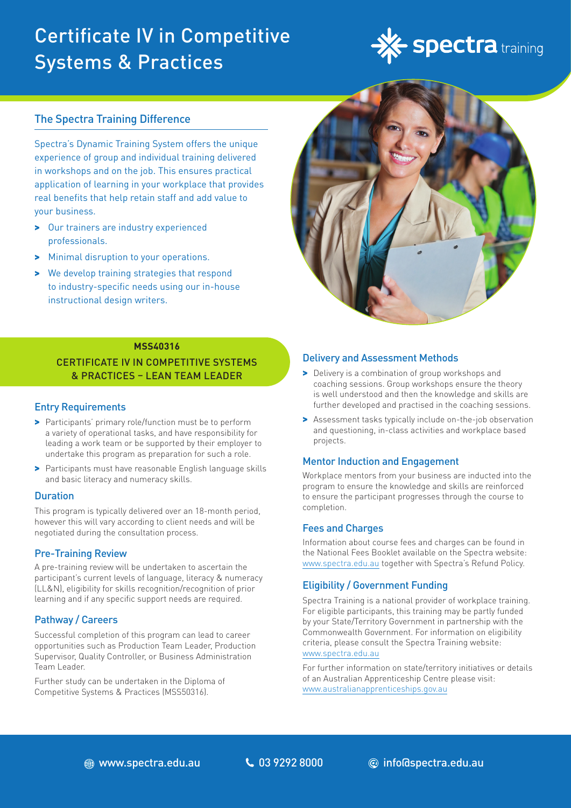# Certificate IV in Competitive Systems & Practices



# The Spectra Training Difference

Spectra's Dynamic Training System offers the unique experience of group and individual training delivered in workshops and on the job. This ensures practical application of learning in your workplace that provides real benefits that help retain staff and add value to your business.

- > Our trainers are industry experienced professionals.
- > Minimal disruption to your operations.
- > We develop training strategies that respond to industry-specific needs using our in-house instructional design writers.



### **MSS40316**

CERTIFICATE IV IN COMPETITIVE SYSTEMS & PRACTICES – LEAN TEAM LEADER

# Entry Requirements

- > Participants' primary role/function must be to perform a variety of operational tasks, and have responsibility for leading a work team or be supported by their employer to undertake this program as preparation for such a role.
- > Participants must have reasonable English language skills and basic literacy and numeracy skills.

### **Duration**

This program is typically delivered over an 18-month period, however this will vary according to client needs and will be negotiated during the consultation process.

# Pre-Training Review

A pre-training review will be undertaken to ascertain the participant's current levels of language, literacy & numeracy (LL&N), eligibility for skills recognition/recognition of prior learning and if any specific support needs are required.

# Pathway / Careers

Successful completion of this program can lead to career opportunities such as Production Team Leader, Production Supervisor, Quality Controller, or Business Administration Team Leader.

Further study can be undertaken in the Diploma of Competitive Systems & Practices (MSS50316).

### Delivery and Assessment Methods

- > Delivery is a combination of group workshops and coaching sessions. Group workshops ensure the theory is well understood and then the knowledge and skills are further developed and practised in the coaching sessions.
- > Assessment tasks typically include on-the-job observation and questioning, in-class activities and workplace based projects.

# Mentor Induction and Engagement

Workplace mentors from your business are inducted into the program to ensure the knowledge and skills are reinforced to ensure the participant progresses through the course to completion.

# Fees and Charges

Information about course fees and charges can be found in the National Fees Booklet available on the Spectra website: www.spectra.edu.au together with Spectra's Refund Policy.

# Eligibility / Government Funding

Spectra Training is a national provider of workplace training. For eligible participants, this training may be partly funded by your State/Territory Government in partnership with the Commonwealth Government. For information on eligibility criteria, please consult the Spectra Training website: [www.spectra.edu.au](https://www.spectra.edu.au/)

For further information on state/territory initiatives or details of an Australian Apprenticeship Centre please visit: [www.australianapprenticeships.gov.au](https://www.australianapprenticeships.gov.au/)